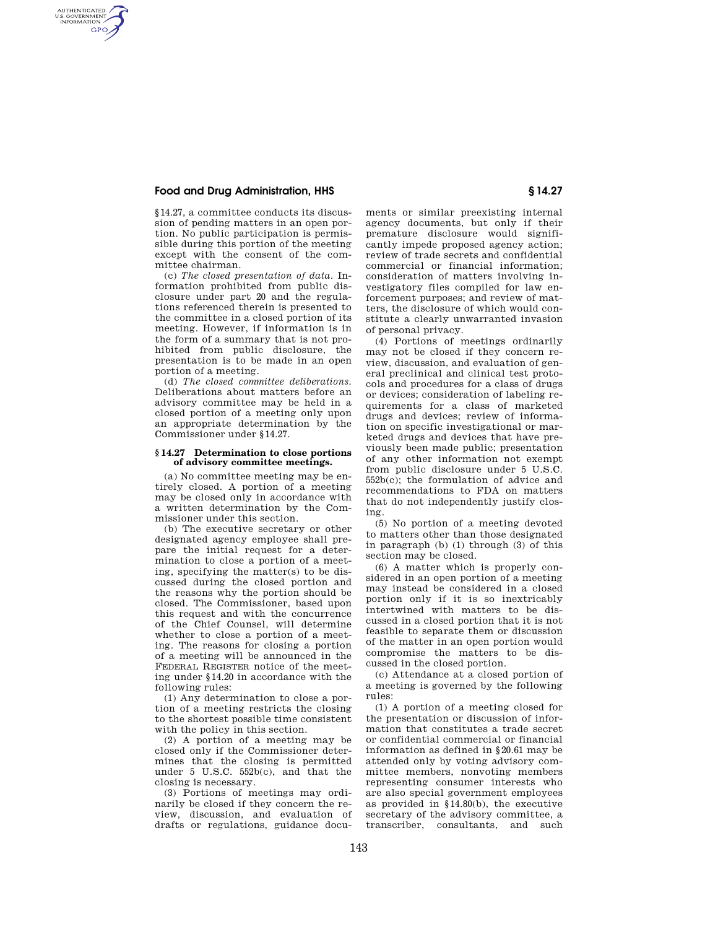## **Food and Drug Administration, HHS § 14.27**

AUTHENTICATED<br>U.S. GOVERNMENT<br>INFORMATION **GPO** 

> §14.27, a committee conducts its discussion of pending matters in an open portion. No public participation is permissible during this portion of the meeting except with the consent of the committee chairman.

> (c) *The closed presentation of data.* Information prohibited from public disclosure under part 20 and the regulations referenced therein is presented to the committee in a closed portion of its meeting. However, if information is in the form of a summary that is not prohibited from public disclosure, the presentation is to be made in an open portion of a meeting.

> (d) *The closed committee deliberations.*  Deliberations about matters before an advisory committee may be held in a closed portion of a meeting only upon an appropriate determination by the Commissioner under §14.27.

## **§ 14.27 Determination to close portions of advisory committee meetings.**

(a) No committee meeting may be entirely closed. A portion of a meeting may be closed only in accordance with a written determination by the Commissioner under this section.

(b) The executive secretary or other designated agency employee shall prepare the initial request for a determination to close a portion of a meeting, specifying the matter(s) to be discussed during the closed portion and the reasons why the portion should be closed. The Commissioner, based upon this request and with the concurrence of the Chief Counsel, will determine whether to close a portion of a meeting. The reasons for closing a portion of a meeting will be announced in the FEDERAL REGISTER notice of the meeting under §14.20 in accordance with the following rules:

(1) Any determination to close a portion of a meeting restricts the closing to the shortest possible time consistent with the policy in this section.

(2) A portion of a meeting may be closed only if the Commissioner determines that the closing is permitted under 5 U.S.C. 552b(c), and that the closing is necessary.

(3) Portions of meetings may ordinarily be closed if they concern the review, discussion, and evaluation of drafts or regulations, guidance documents or similar preexisting internal agency documents, but only if their premature disclosure would significantly impede proposed agency action; review of trade secrets and confidential commercial or financial information; consideration of matters involving investigatory files compiled for law enforcement purposes; and review of matters, the disclosure of which would constitute a clearly unwarranted invasion of personal privacy.

(4) Portions of meetings ordinarily may not be closed if they concern review, discussion, and evaluation of general preclinical and clinical test protocols and procedures for a class of drugs or devices; consideration of labeling requirements for a class of marketed drugs and devices; review of information on specific investigational or marketed drugs and devices that have previously been made public; presentation of any other information not exempt from public disclosure under 5 U.S.C. 552b(c); the formulation of advice and recommendations to FDA on matters that do not independently justify closing.

(5) No portion of a meeting devoted to matters other than those designated in paragraph (b) (1) through (3) of this section may be closed.

(6) A matter which is properly considered in an open portion of a meeting may instead be considered in a closed portion only if it is so inextricably intertwined with matters to be discussed in a closed portion that it is not feasible to separate them or discussion of the matter in an open portion would compromise the matters to be discussed in the closed portion.

(c) Attendance at a closed portion of a meeting is governed by the following rules:

(1) A portion of a meeting closed for the presentation or discussion of information that constitutes a trade secret or confidential commercial or financial information as defined in §20.61 may be attended only by voting advisory committee members, nonvoting members representing consumer interests who are also special government employees as provided in §14.80(b), the executive secretary of the advisory committee, a transcriber, consultants, and such